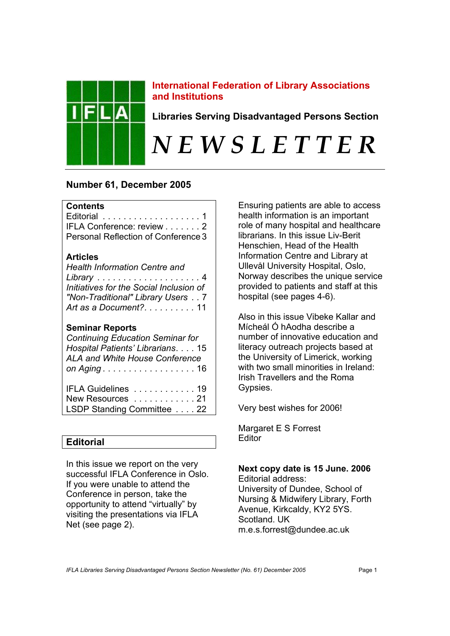

# **International Federation of Library Associations and Institutions**

**Libraries Serving Disadvantaged Persons Section** 

# *N E W S L E T T E R*

# **Number 61, December 2005**

| IFLA Conference: review 2           |
|-------------------------------------|
| Personal Reflection of Conference 3 |

# **Articles**

| <b>Health Information Centre and</b>    |
|-----------------------------------------|
|                                         |
| Initiatives for the Social Inclusion of |
| "Non-Traditional" Library Users 7       |
| Art as a Document?11                    |

# **Seminar Reports**

| <b>Continuing Education Seminar for</b> |  |
|-----------------------------------------|--|
| Hospital Patients' Librarians. 15       |  |
| <b>ALA and White House Conference</b>   |  |
| on Aging 16                             |  |
| $-1$ $-1$ $-1$ $-1$                     |  |

| IFLA Guidelines  19         |  |
|-----------------------------|--|
| New Resources 21            |  |
| LSDP Standing Committee  22 |  |

# **Editorial**

In this issue we report on the very successful IFLA Conference in Oslo. If you were unable to attend the Conference in person, take the opportunity to attend "virtually" by visiting the presentations via IFLA Net (see page 2).

Ensuring patients are able to access health information is an important role of many hospital and healthcare librarians. In this issue Liv-Berit Henschien, Head of the Health Information Centre and Library at Ullevål University Hospital, Oslo, Norway describes the unique service provided to patients and staff at this hospital (see pages 4-6).

Also in this issue Vibeke Kallar and Mícheál Ó hAodha describe a number of innovative education and literacy outreach projects based at the University of Limerick, working with two small minorities in Ireland: Irish Travellers and the Roma Gypsies.

Very best wishes for 2006!

Margaret E S Forrest Editor

## **Next copy date is 15 June. 2006**  Editorial address:

University of Dundee, School of Nursing & Midwifery Library, Forth Avenue, Kirkcaldy, KY2 5YS. Scotland. UK m.e.s.forrest@dundee.ac.uk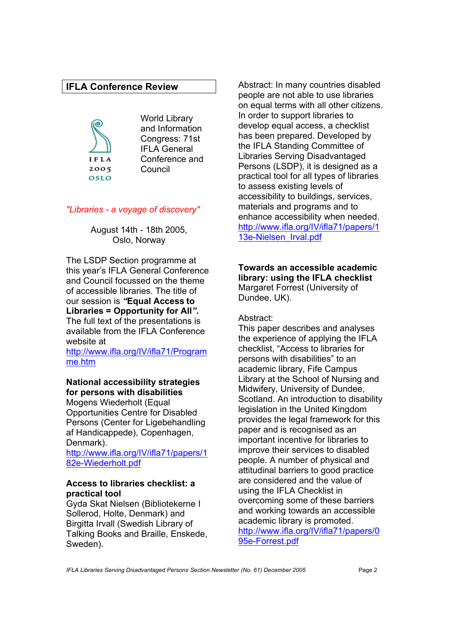# **IFLA Conference Review**



World Library and Information Congress: 71st IFI A General Conference and **Council** 

## *"Libraries - a voyage of discovery"*

## August 14th - 18th 2005, Oslo, Norway

The LSDP Section programme at this year's IFLA General Conference and Council focussed on the theme of accessible libraries. The title of our session is *"***Equal Access to Libraries = Opportunity for All***".* The full text of the presentations is available from the IFLA Conference website at

<http://www.ifla.org/IV/ifla71/Program> me.htm

## **National accessibility strategies for persons with disabilities**

Mogens Wiederholt (Equal Opportunities Centre for Disabled Persons (Center for Ligebehandling af Handicappede), Copenhagen, Denmark).

<http://www.ifla.org/IV/ifla71/papers/1> 82e-Wiederholt.pdf

## **Access to libraries checklist: a practical tool**

Gyda Skat Nielsen (Bibliotekerne I Sollerod, Holte, Denmark) and Birgitta Irvall (Swedish Library of Talking Books and Braille, Enskede, Sweden).

Abstract: In many countries disabled people are not able to use libraries on equal terms with all other citizens. In order to support libraries to develop equal access, a checklist has been prepared. Developed by the IFLA Standing Committee of Libraries Serving Disadvantaged Persons (LSDP), it is designed as a practical tool for all types of libraries to assess existing levels of accessibility to buildings, services, materials and programs and to enhance accessibility when needed. <http://www.ifla.org/IV/ifla71/papers/1> 13e-Nielsen\_Irval.pdf

**Towards an accessible academic library: using the IFLA checklist**  Margaret Forrest (University of Dundee, UK).

## Abstract:

This paper describes and analyses the experience of applying the IFLA checklist, "Access to libraries for persons with disabilities" to an academic library, Fife Campus Library at the School of Nursing and Midwifery, University of Dundee, Scotland. An introduction to disability legislation in the United Kingdom provides the legal framework for this paper and is recognised as an important incentive for libraries to improve their services to disabled people. A number of physical and attitudinal barriers to good practice are considered and the value of using the IFLA Checklist in overcoming some of these barriers and working towards an accessible academic library is promoted. <http://www.ifla.org/IV/ifla71/papers/0> 95e-Forrest.pdf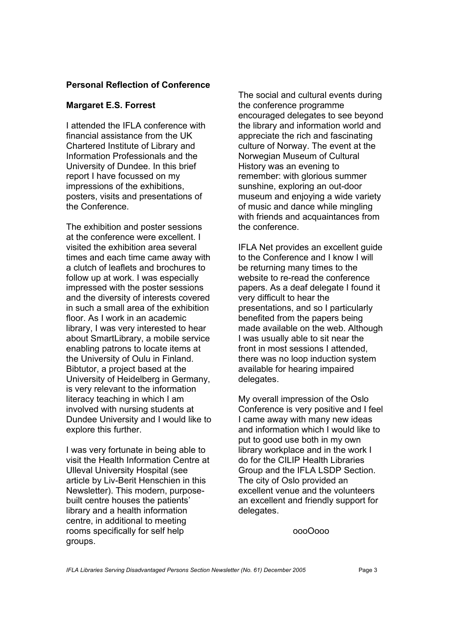## **Personal Reflection of Conference**

## **Margaret E.S. Forrest**

I attended the IFLA conference with financial assistance from the UK Chartered Institute of Library and Information Professionals and the University of Dundee. In this brief report I have focussed on my impressions of the exhibitions, posters, visits and presentations of the Conference.

The exhibition and poster sessions at the conference were excellent. I visited the exhibition area several times and each time came away with a clutch of leaflets and brochures to follow up at work. I was especially impressed with the poster sessions and the diversity of interests covered in such a small area of the exhibition floor. As I work in an academic library, I was very interested to hear about SmartLibrary, a mobile service enabling patrons to locate items at the University of Oulu in Finland. Bibtutor, a project based at the University of Heidelberg in Germany, is very relevant to the information literacy teaching in which I am involved with nursing students at Dundee University and I would like to explore this further.

I was very fortunate in being able to visit the Health Information Centre at Ulleval University Hospital (see article by Liv-Berit Henschien in this Newsletter). This modern, purposebuilt centre houses the patients' library and a health information centre, in additional to meeting rooms specifically for self help groups.

The social and cultural events during the conference programme encouraged delegates to see beyond the library and information world and appreciate the rich and fascinating culture of Norway. The event at the Norwegian Museum of Cultural History was an evening to remember: with glorious summer sunshine, exploring an out-door museum and enjoying a wide variety of music and dance while mingling with friends and acquaintances from the conference.

IFLA Net provides an excellent guide to the Conference and I know I will be returning many times to the website to re-read the conference papers. As a deaf delegate I found it very difficult to hear the presentations, and so I particularly benefited from the papers being made available on the web. Although I was usually able to sit near the front in most sessions I attended, there was no loop induction system available for hearing impaired delegates.

My overall impression of the Oslo Conference is very positive and I feel I came away with many new ideas and information which I would like to put to good use both in my own library workplace and in the work I do for the CILIP Health Libraries Group and the IFLA LSDP Section. The city of Oslo provided an excellent venue and the volunteers an excellent and friendly support for delegates.

oooOooo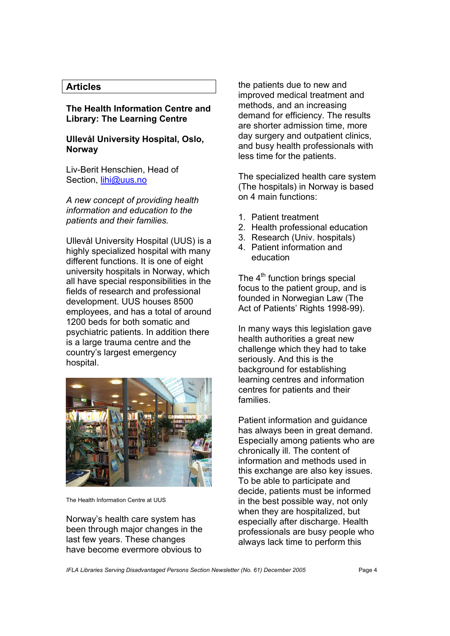# **Articles**

## **The Health Information Centre and Library: The Learning Centre**

## **Ullevål University Hospital, Oslo, Norway**

Liv-Berit Henschien, Head of Section, lihi@uus.no

*A new concept of providing health information and education to the patients and their families.* 

Ullevål University Hospital (UUS) is a highly specialized hospital with many different functions. It is one of eight university hospitals in Norway, which all have special responsibilities in the fields of research and professional development. UUS houses 8500 employees, and has a total of around 1200 beds for both somatic and psychiatric patients. In addition there is a large trauma centre and the country's largest emergency hospital.



The Health Information Centre at UUS

Norway's health care system has been through major changes in the last few years. These changes have become evermore obvious to

the patients due to new and improved medical treatment and methods, and an increasing demand for efficiency. The results are shorter admission time, more day surgery and outpatient clinics, and busy health professionals with less time for the patients.

The specialized health care system (The hospitals) in Norway is based on 4 main functions:

- 1. Patient treatment
- 2. Health professional education
- 3. Research (Univ. hospitals)
- 4. Patient information and education

The 4<sup>th</sup> function brings special focus to the patient group, and is founded in Norwegian Law (The Act of Patients' Rights 1998-99).

In many ways this legislation gave health authorities a great new challenge which they had to take seriously. And this is the background for establishing learning centres and information centres for patients and their families.

Patient information and guidance has always been in great demand. Especially among patients who are chronically ill. The content of information and methods used in this exchange are also key issues. To be able to participate and decide, patients must be informed in the best possible way, not only when they are hospitalized, but especially after discharge. Health professionals are busy people who always lack time to perform this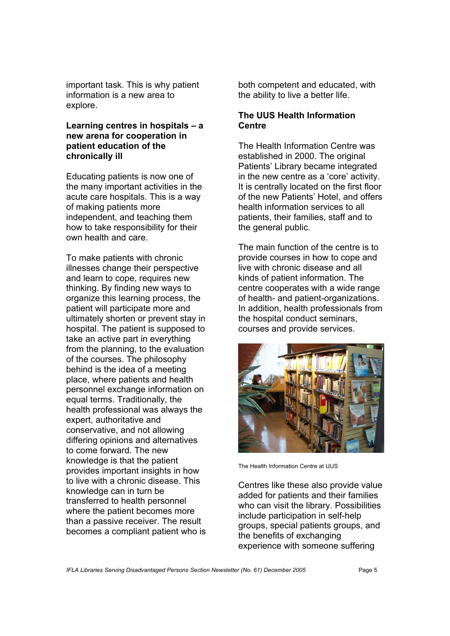important task. This is why patient information is a new area to explore.

## **Learning centres in hospitals – a new arena for cooperation in patient education of the chronically ill**

Educating patients is now one of the many important activities in the acute care hospitals. This is a way of making patients more independent, and teaching them how to take responsibility for their own health and care.

To make patients with chronic illnesses change their perspective and learn to cope, requires new thinking. By finding new ways to organize this learning process, the patient will participate more and ultimately shorten or prevent stay in hospital. The patient is supposed to take an active part in everything from the planning, to the evaluation of the courses. The philosophy behind is the idea of a meeting place, where patients and health personnel exchange information on equal terms. Traditionally, the health professional was always the expert, authoritative and conservative, and not allowing differing opinions and alternatives to come forward. The new knowledge is that the patient provides important insights in how to live with a chronic disease. This knowledge can in turn be transferred to health personnel where the patient becomes more than a passive receiver. The result becomes a compliant patient who is

both competent and educated, with the ability to live a better life.

# **The UUS Health Information Centre**

The Health Information Centre was established in 2000. The original Patients' Library became integrated in the new centre as a 'core' activity. It is centrally located on the first floor of the new Patients' Hotel, and offers health information services to all patients, their families, staff and to the general public.

The main function of the centre is to provide courses in how to cope and live with chronic disease and all kinds of patient information. The centre cooperates with a wide range of health- and patient-organizations. In addition, health professionals from the hospital conduct seminars, courses and provide services.



The Health Information Centre at UUS

Centres like these also provide value added for patients and their families who can visit the library. Possibilities include participation in self-help groups, special patients groups, and the benefits of exchanging experience with someone suffering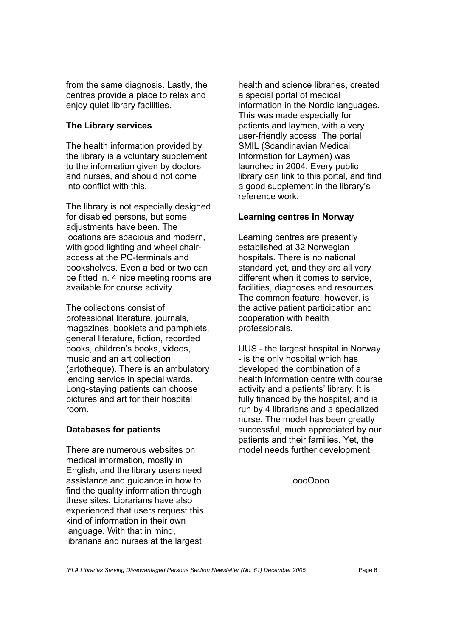from the same diagnosis. Lastly, the centres provide a place to relax and enjoy quiet library facilities.

## **The Library services**

The health information provided by the library is a voluntary supplement to the information given by doctors and nurses, and should not come into conflict with this.

The library is not especially designed for disabled persons, but some adjustments have been. The locations are spacious and modern, with good lighting and wheel chairaccess at the PC-terminals and bookshelves. Even a bed or two can be fitted in. 4 nice meeting rooms are available for course activity.

The collections consist of professional literature, journals, magazines, booklets and pamphlets, general literature, fiction, recorded books, children's books, videos, music and an art collection (artotheque). There is an ambulatory lending service in special wards. Long-staying patients can choose pictures and art for their hospital room.

# **Databases for patients**

There are numerous websites on medical information, mostly in English, and the library users need assistance and guidance in how to find the quality information through these sites. Librarians have also experienced that users request this kind of information in their own language. With that in mind, librarians and nurses at the largest

health and science libraries, created a special portal of medical information in the Nordic languages. This was made especially for patients and laymen, with a very user-friendly access. The portal SMIL (Scandinavian Medical Information for Laymen) was launched in 2004. Every public library can link to this portal, and find a good supplement in the library's reference work*.* 

## **Learning centres in Norway**

Learning centres are presently established at 32 Norwegian hospitals. There is no national standard yet, and they are all very different when it comes to service, facilities, diagnoses and resources. The common feature, however, is the active patient participation and cooperation with health professionals.

UUS - the largest hospital in Norway - is the only hospital which has developed the combination of a health information centre with course activity and a patients' library. It is fully financed by the hospital, and is run by 4 librarians and a specialized nurse. The model has been greatly successful, much appreciated by our patients and their families. Yet, the model needs further development.

oooOooo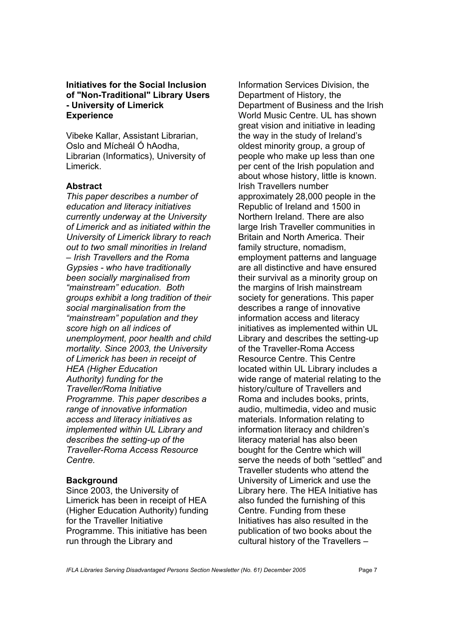## **Initiatives for the Social Inclusion of "Non-Traditional" Library Users - University of Limerick Experience**

Vibeke Kallar, Assistant Librarian, Oslo and Mícheál Ó hAodha, Librarian (Informatics), University of Limerick.

## **Abstract**

*This paper describes a number of education and literacy initiatives currently underway at the University of Limerick and as initiated within the University of Limerick library to reach out to two small minorities in Ireland – Irish Travellers and the Roma Gypsies - who have traditionally been socially marginalised from "mainstream" education. Both groups exhibit a long tradition of their social marginalisation from the "mainstream" population and they score high on all indices of unemployment, poor health and child mortality. Since 2003, the University of Limerick has been in receipt of HEA (Higher Education Authority) funding for the Traveller/Roma Initiative Programme. This paper describes a range of innovative information access and literacy initiatives as implemented within UL Library and describes the setting-up of the Traveller-Roma Access Resource Centre.* 

### **Background**

Since 2003, the University of Limerick has been in receipt of HEA (Higher Education Authority) funding for the Traveller Initiative Programme. This initiative has been run through the Library and

Information Services Division, the Department of History, the Department of Business and the Irish World Music Centre. UL has shown great vision and initiative in leading the way in the study of Ireland's oldest minority group, a group of people who make up less than one per cent of the Irish population and about whose history, little is known. Irish Travellers number approximately 28,000 people in the Republic of Ireland and 1500 in Northern Ireland. There are also large Irish Traveller communities in Britain and North America. Their family structure, nomadism, employment patterns and language are all distinctive and have ensured their survival as a minority group on the margins of Irish mainstream society for generations. This paper describes a range of innovative information access and literacy initiatives as implemented within UL Library and describes the setting-up of the Traveller-Roma Access Resource Centre. This Centre located within UL Library includes a wide range of material relating to the history/culture of Travellers and Roma and includes books, prints, audio, multimedia, video and music materials. Information relating to information literacy and children's literacy material has also been bought for the Centre which will serve the needs of both "settled" and Traveller students who attend the University of Limerick and use the Library here. The HEA Initiative has also funded the furnishing of this Centre. Funding from these Initiatives has also resulted in the publication of two books about the cultural history of the Travellers –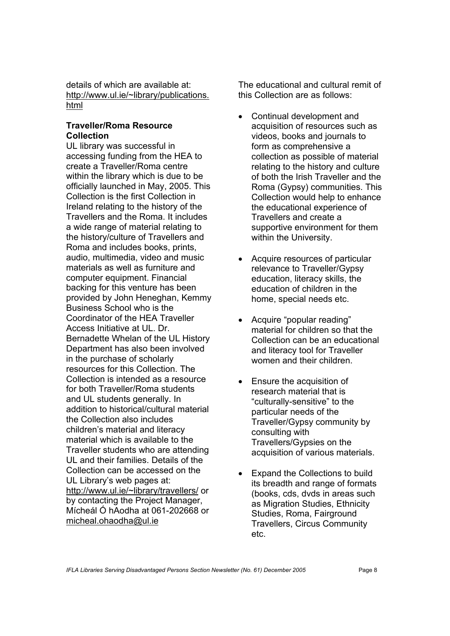details of which are available at: [http://www.ul.ie/~library/publications.](http://www.ul.ie/~library/publications) html

## **Traveller/Roma Resource Collection**

UL library was successful in accessing funding from the HEA to create a Traveller/Roma centre within the library which is due to be officially launched in May, 2005. This Collection is the first Collection in Ireland relating to the history of the Travellers and the Roma. It includes a wide range of material relating to the history/culture of Travellers and Roma and includes books, prints, audio, multimedia, video and music materials as well as furniture and computer equipment. Financial backing for this venture has been provided by John Heneghan, Kemmy Business School who is the Coordinator of the HEA Traveller Access Initiative at UL. Dr. Bernadette Whelan of the UL History Department has also been involved in the purchase of scholarly resources for this Collection. The Collection is intended as a resource for both Traveller/Roma students and UL students generally. In addition to historical/cultural material the Collection also includes children's material and literacy material which is available to the Traveller students who are attending UL and their families. Details of the Collection can be accessed on the UL Library's web pages at: <http://www.ul.ie/~library/travellers/> or by contacting the Project Manager, Mícheál Ó hAodha at 061-202668 or micheal.ohaodha@ul.ie

The educational and cultural remit of this Collection are as follows:

- Continual development and acquisition of resources such as videos, books and journals to form as comprehensive a collection as possible of material relating to the history and culture of both the Irish Traveller and the Roma (Gypsy) communities. This Collection would help to enhance the educational experience of Travellers and create a supportive environment for them within the University.
- Acquire resources of particular relevance to Traveller/Gypsy education, literacy skills, the education of children in the home, special needs etc.
- Acquire "popular reading" material for children so that the Collection can be an educational and literacy tool for Traveller women and their children
- Ensure the acquisition of research material that is "culturally-sensitive" to the particular needs of the Traveller/Gypsy community by consulting with Travellers/Gypsies on the acquisition of various materials.
- Expand the Collections to build its breadth and range of formats (books, cds, dvds in areas such as Migration Studies, Ethnicity Studies, Roma, Fairground Travellers, Circus Community etc.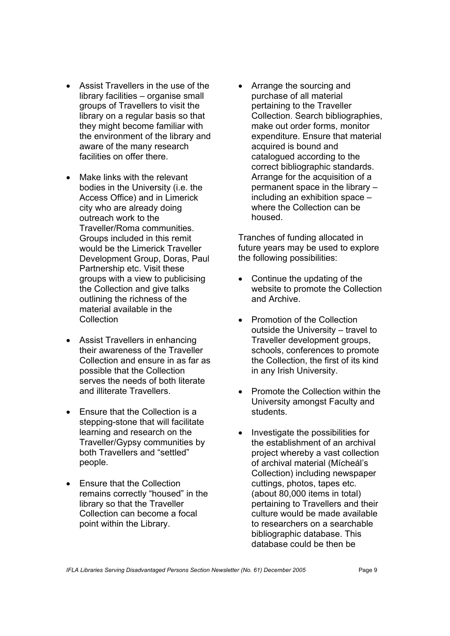- Assist Travellers in the use of the library facilities – organise small groups of Travellers to visit the library on a regular basis so that they might become familiar with the environment of the library and aware of the many research facilities on offer there.
- Make links with the relevant bodies in the University (i.e. the Access Office) and in Limerick city who are already doing outreach work to the Traveller/Roma communities. Groups included in this remit would be the Limerick Traveller Development Group, Doras, Paul Partnership etc. Visit these groups with a view to publicising the Collection and give talks outlining the richness of the material available in the Collection
- Assist Travellers in enhancing their awareness of the Traveller Collection and ensure in as far as possible that the Collection serves the needs of both literate and illiterate Travellers.
- Ensure that the Collection is a stepping-stone that will facilitate learning and research on the Traveller/Gypsy communities by both Travellers and "settled" people.
- Ensure that the Collection remains correctly "housed" in the library so that the Traveller Collection can become a focal point within the Library.

• Arrange the sourcing and purchase of all material pertaining to the Traveller Collection. Search bibliographies, make out order forms, monitor expenditure. Ensure that material acquired is bound and catalogued according to the correct bibliographic standards. Arrange for the acquisition of a permanent space in the library – including an exhibition space – where the Collection can be housed.

Tranches of funding allocated in future years may be used to explore the following possibilities:

- Continue the updating of the website to promote the Collection and Archive.
- Promotion of the Collection outside the University – travel to Traveller development groups, schools, conferences to promote the Collection, the first of its kind in any Irish University.
- Promote the Collection within the University amongst Faculty and students.
- Investigate the possibilities for the establishment of an archival project whereby a vast collection of archival material (Mícheál's Collection) including newspaper cuttings, photos, tapes etc. (about 80,000 items in total) pertaining to Travellers and their culture would be made available to researchers on a searchable bibliographic database. This database could be then be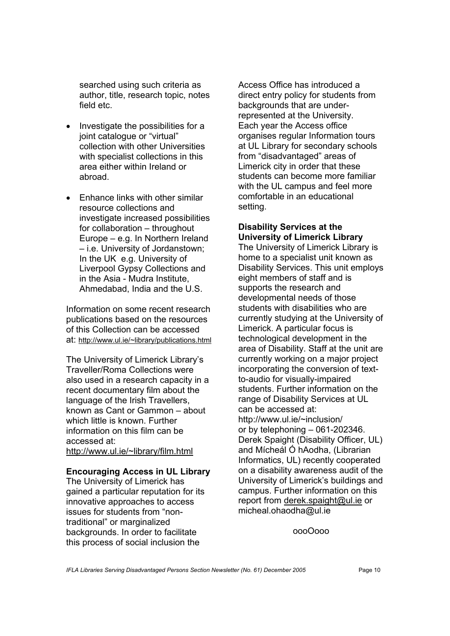searched using such criteria as author, title, research topic, notes field etc.

- Investigate the possibilities for a joint catalogue or "virtual" collection with other Universities with specialist collections in this area either within Ireland or abroad.
- Enhance links with other similar resource collections and investigate increased possibilities for collaboration – throughout Europe – e.g. In Northern Ireland – i.e. University of Jordanstown; In the UK e.g. University of Liverpool Gypsy Collections and in the Asia - Mudra Institute, Ahmedabad, India and the U.S.

Information on some recent research publications based on the resources of this Collection can be accessed at: <http://www.ul.ie/~library/publications.html>

The University of Limerick Library's Traveller/Roma Collections were also used in a research capacity in a recent documentary film about the language of the Irish Travellers, known as Cant or Gammon – about which little is known. Further information on this film can be accessed at:

<http://www.ul.ie/~library/film.html>

### **Encouraging Access in UL Library**

The University of Limerick has gained a particular reputation for its innovative approaches to access issues for students from "nontraditional" or marginalized backgrounds. In order to facilitate this process of social inclusion the

Access Office has introduced a direct entry policy for students from backgrounds that are underrepresented at the University. Each year the Access office organises regular Information tours at UL Library for secondary schools from "disadvantaged" areas of Limerick city in order that these students can become more familiar with the UL campus and feel more comfortable in an educational setting.

## **Disability Services at the University of Limerick Library**  The University of Limerick Library is

home to a specialist unit known as Disability Services. This unit employs eight members of staff and is supports the research and developmental needs of those students with disabilities who are currently studying at the University of Limerick. A particular focus is technological development in the area of Disability. Staff at the unit are currently working on a major project incorporating the conversion of textto-audio for visually-impaired students. Further information on the range of Disability Services at UL can be accessed at: <http://www.ul.ie/~inclusion/> or by telephoning – 061-202346. Derek Spaight (Disability Officer, UL) and Mícheál Ó hAodha, (Librarian Informatics, UL) recently cooperated on a disability awareness audit of the University of Limerick's buildings and campus. Further information on this report from derek.spaight@ul.ie or micheal.ohaodha@ul.ie

oooOooo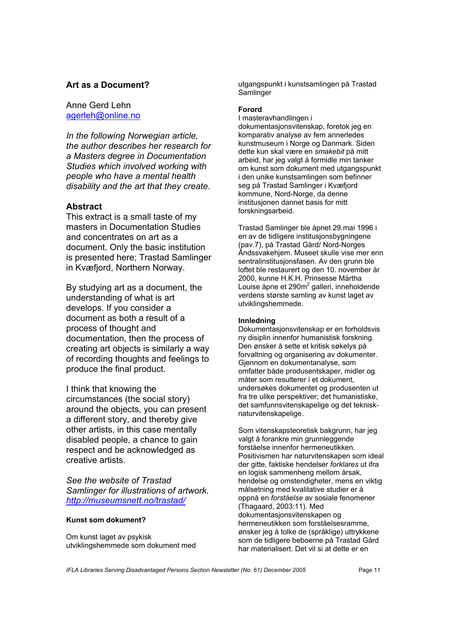## **Art as a Document?**

## Anne Gerd Lehn agerleh@online.no

*In the following Norwegian article, the author describes her research for a Masters degree in Documentation Studies which involved working with people who have a mental health disability and the art that they create.* 

## **Abstract**

This extract is a small taste of my masters in Documentation Studies and concentrates on art as a document. Only the basic institution is presented here; Trastad Samlinger in Kvæfjord, Northern Norway.

By studying art as a document, the understanding of what is art develops. If you consider a document as both a result of a process of thought and documentation, then the process of creating art objects is similarly a way of recording thoughts and feelings to produce the final product.

I think that knowing the circumstances (the social story) around the objects, you can present a different story, and thereby give other artists, in this case mentally disabled people, a chance to gain respect and be acknowledged as creative artists.

*See the website of Trastad Samlinger for illustrations of artwork. <http://museumsnett.no/trastad/>*

#### **Kunst som dokument?**

Om kunst laget av psykisk utviklingshemmede som dokument med utgangspunkt i kunstsamlingen på Trastad **Samlinger** 

#### **Forord**

I masteravhandlingen i dokumentasjonsvitenskap, foretok jeg en komparativ analyse av fem annerledes kunstmuseum i Norge og Danmark. Siden dette kun skal være en *smakebit* på mitt arbeid, har jeg valgt å formidle min tanker om kunst som dokument med utgangspunkt i den unike kunstsamlingen som befinner seg på Trastad Samlinger i Kvæfjord kommune, Nord-Norge, da denne institusjonen dannet basis for mitt forskningsarbeid.

Trastad Samlinger ble åpnet 29.mai 1996 i en av de tidligere institusjonsbygningene (pav.7), på Trastad Gård/ Nord-Norges Åndssvakehjem. Museet skulle vise mer enn sentralinstitusjonsfasen. Av den grunn ble loftet ble restaurert og den 10. november år 2000, kunne H.K.H. Prinsesse Märtha Louise åpne et 290m<sup>2</sup> galleri, inneholdende verdens største samling av kunst laget av utviklingshemmede.

#### **Innledning**

Dokumentasjonsvitenskap er en forholdsvis ny disiplin innenfor humanistisk forskning. Den ønsker å sette et kritisk søkelys på forvaltning og organisering av dokumenter. Gjennom en dokumentanalyse, som omfatter både produsentskaper, midler og måter som resulterer i et dokument, undersøkes dokumentet og produsenten ut fra tre ulike perspektiver; det humanistiske, det samfunnsvitenskapelige og det teknisknaturvitenskapelige.

Som vitenskapsteoretisk bakgrunn, har jeg valgt å forankre min grunnleggende forståelse innenfor hermeneutikken. Positivismen har naturvitenskapen som ideal der gitte, faktiske hendelser *forklares* ut ifra en logisk sammenheng mellom årsak, hendelse og omstendigheter, mens en viktig målsetning med kvalitative studier er å oppnå en *forståelse* av sosiale fenomener (Thagaard, 2003:11). Med dokumentasjonsvitenskapen og hermeneutikken som forståelsesramme, ønsker jeg å tolke de (språklige) uttrykkene som de tidligere beboerne på Trastad Gård har materialisert. Det vil si at dette er en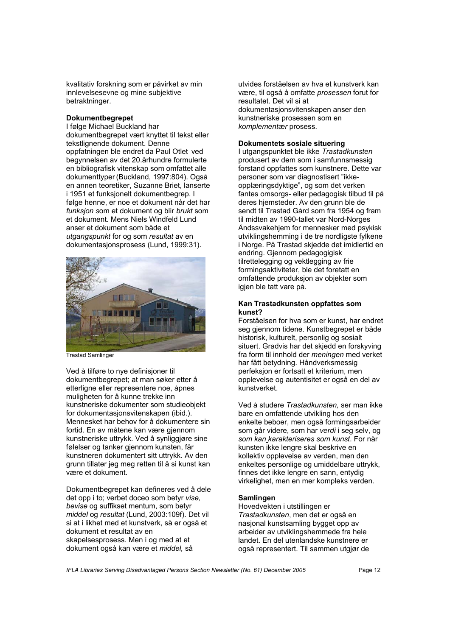kvalitativ forskning som er påvirket av min innlevelsesevne og mine subjektive betraktninger.

#### **Dokumentbegrepet**

I følge Michael Buckland har dokumentbegrepet vært knyttet til tekst eller tekstlignende dokument. Denne oppfatningen ble endret da Paul Otlet ved begynnelsen av det 20.århundre formulerte en bibliografisk vitenskap som omfattet alle dokumenttyper (Buckland, 1997:804). Også en annen teoretiker, Suzanne Briet, lanserte i 1951 et funksjonelt dokumentbegrep. I følge henne, er noe et dokument når det har *funksjon s*om et dokument og blir *brukt* som et dokument. Mens Niels Windfeld Lund anser et dokument som både et *utgangspunkt* for og som *resultat* av en dokumentasjonsprosess (Lund, 1999:31).



Trastad Samlinger

Ved å tilføre to nye definisjoner til dokumentbegrepet; at man søker etter å etterligne eller representere noe, åpnes muligheten for å kunne trekke inn kunstneriske dokumenter som studieobjekt for dokumentasjonsvitenskapen (ibid.). Mennesket har behov for å dokumentere sin fortid. En av måtene kan være gjennom kunstneriske uttrykk. Ved å synliggjøre sine følelser og tanker gjennom kunsten, får kunstneren dokumentert sitt uttrykk. Av den grunn tillater jeg meg retten til å si kunst kan være et dokument.

Dokumentbegrepet kan defineres ved å dele det opp i to; verbet doceo som betyr *vise, bevise* og suffikset mentum, som betyr *middel* og *resultat* (Lund, 2003:109f). Det vil si at i likhet med et kunstverk, så er også et dokument et resultat av en skapelsesprosess. Men i og med at et dokument også kan være et *middel,* så

utvides forståelsen av hva et kunstverk kan være, til også å omfatte *prosessen* forut for resultatet. Det vil si at dokumentasjonsvitenskapen anser den kunstneriske prosessen som en *komplementær* prosess.

#### **Dokumentets sosiale situering**

I utgangspunktet ble ikke *Trastadkunsten* produsert av dem som i samfunnsmessig forstand oppfattes som kunstnere. Dette var personer som var diagnostisert "ikkeopplæringsdyktige", og som det verken fantes omsorgs- eller pedagogisk tilbud til på deres hjemsteder. Av den grunn ble de sendt til Trastad Gård som fra 1954 og fram til midten av 1990-tallet var Nord-Norges Åndssvakehjem for mennesker med psykisk utviklingshemming i de tre nordligste fylkene i Norge. På Trastad skjedde det imidlertid en endring. Gjennom pedagogigisk tilrettelegging og vektlegging av frie formingsaktiviteter, ble det foretatt en omfattende produksjon av objekter som igjen ble tatt vare på.

#### **Kan Trastadkunsten oppfattes som kunst?**

Forståelsen for hva som er kunst, har endret seg gjennom tidene. Kunstbegrepet er både historisk, kulturelt, personlig og sosialt situert. Gradvis har det skjedd en forskyving fra form til innhold der *meningen* med verket har fått betydning. Håndverksmessig perfeksjon er fortsatt et kriterium, men opplevelse og autentisitet er også en del av kunstverket.

Ved å studere *Trastadkunsten,* ser man ikke bare en omfattende utvikling hos den enkelte beboer, men også formingsarbeider som går videre, som har *verdi* i seg selv, og *som kan karakteriseres som kunst*. For når kunsten ikke lengre skal beskrive en kollektiv opplevelse av verden, men den enkeltes personlige og umiddelbare uttrykk, finnes det ikke lengre en sann, entydig virkelighet, men en mer kompleks verden.

#### **Samlingen**

Hovedvekten i utstillingen er *Trastadkunsten*, men det er også en nasjonal kunstsamling bygget opp av arbeider av utviklingshemmede fra hele landet. En del utenlandske kunstnere er også representert. Til sammen utgjør de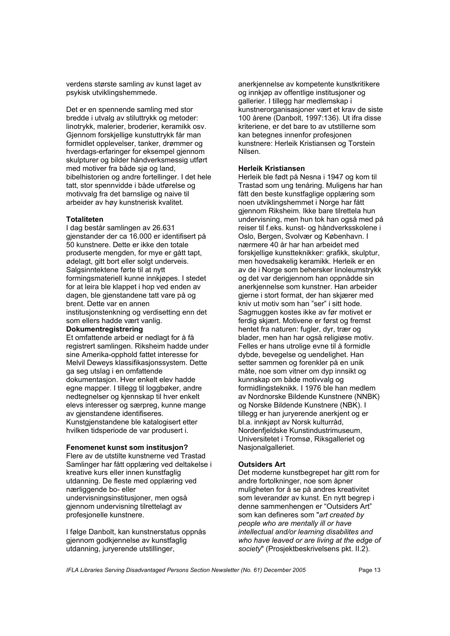verdens største samling av kunst laget av psykisk utviklingshemmede.

Det er en spennende samling med stor bredde i utvalg av stiluttrykk og metoder: linotrykk, malerier, broderier, keramikk osv. Gjennom forskjellige kunstuttrykk får man formidlet opplevelser, tanker, drømmer og hverdags-erfaringer for eksempel gjennom skulpturer og bilder håndverksmessig utført med motiver fra både sjø og land, bibelhistorien og andre fortellinger. I det hele tatt, stor spennvidde i både utførelse og motivvalg fra det barnslige og naive til arbeider av høy kunstnerisk kvalitet.

#### **Totaliteten**

I dag består samlingen av 26.631 gjenstander der ca 16.000 er identifisert på 50 kunstnere. Dette er ikke den totale produserte mengden, for mye er gått tapt, ødelagt, gitt bort eller solgt underveis. Salgsinntektene førte til at nytt formingsmateriell kunne innkjøpes. I stedet for at leira ble klappet i hop ved enden av dagen, ble gjenstandene tatt vare på og brent. Dette var en annen institusjonstenkning og verdisetting enn det som ellers hadde vært vanlig.

#### **Dokumentregistrering**

Et omfattende arbeid er nedlagt for å få registrert samlingen. Riksheim hadde under sine Amerika-opphold fattet interesse for Melvil Deweys klassifikasjonssystem. Dette ga seg utslag i en omfattende dokumentasjon. Hver enkelt elev hadde egne mapper. I tillegg til loggbøker, andre nedtegnelser og kjennskap til hver enkelt elevs interesser og særpreg, kunne mange av gjenstandene identifiseres. Kunstgjenstandene ble katalogisert etter hvilken tidsperiode de var produsert i.

#### **Fenomenet kunst som institusjon?**

Flere av de utstilte kunstnerne ved Trastad Samlinger har fått opplæring ved deltakelse i kreative kurs eller innen kunstfaglig utdanning. De fleste med opplæring ved nærliggende bo- eller undervisningsinstitusjoner, men også gjennom undervisning tilrettelagt av profesjonelle kunstnere.

I følge Danbolt, kan kunstnerstatus oppnås gjennom godkjennelse av kunstfaglig utdanning, juryerende utstillinger,

anerkjennelse av kompetente kunstkritikere og innkjøp av offentlige institusjoner og gallerier. I tillegg har medlemskap i kunstnerorganisasjoner vært et krav de siste 100 årene (Danbolt, 1997:136). Ut ifra disse kriteriene, er det bare to av utstillerne som kan betegnes innenfor profesjonen kunstnere: Herleik Kristiansen og Torstein Nilsen.

#### **Herleik Kristiansen**

Herleik ble født på Nesna i 1947 og kom til Trastad som ung tenåring. Muligens har han fått den beste kunstfaglige opplæring som noen utviklingshemmet i Norge har fått gjennom Riksheim. Ikke bare tilrettela hun undervisning, men hun tok han også med på reiser til f.eks. kunst- og håndverksskolene i Oslo, Bergen, Svolvær og København. I nærmere 40 år har han arbeidet med forskjellige kunstteknikker: grafikk, skulptur, men hovedsakelig keramikk. Herleik er en av de i Norge som behersker linoleumstrykk og det var derigjennom han oppnådde sin anerkjennelse som kunstner. Han arbeider gjerne i stort format, der han skjærer med kniv ut motiv som han "ser" i sitt hode. Sagmuggen kostes ikke av før motivet er ferdig skjært. Motivene er først og fremst hentet fra naturen: fugler, dyr, trær og blader, men han har også religiøse motiv. Felles er hans utrolige evne til å formidle dybde, bevegelse og uendelighet. Han setter sammen og forenkler på en unik måte, noe som vitner om dyp innsikt og kunnskap om både motivvalg og formidlingsteknikk. I 1976 ble han medlem av Nordnorske Bildende Kunstnere (NNBK) og Norske Bildende Kunstnere (NBK). I tillegg er han juryerende anerkjent og er bl.a. innkjøpt av Norsk kulturråd, Nordenfjeldske Kunstindustrimuseum, Universitetet i Tromsø, Riksgalleriet og Nasionalgalleriet.

#### **Outsiders Art**

Det moderne kunstbegrepet har gitt rom for andre fortolkninger, noe som åpner muligheten for å se på andres kreativitet som leverandør av kunst. En nytt begrep i denne sammenhengen er "Outsiders Art" som kan defineres som "*art created by people who are mentally ill or have intellectual and/or learning disabilites and who have leaved or are living at the edge of society*" (Prosjektbeskrivelsens pkt. II.2).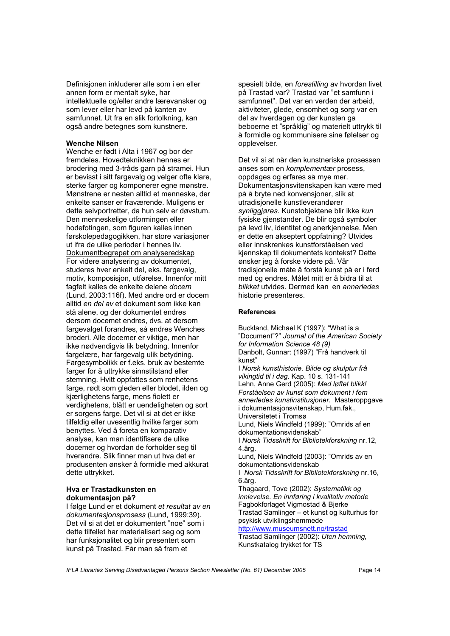Definisjonen inkluderer alle som i en eller annen form er mentalt syke, har intellektuelle og/eller andre lærevansker og som lever eller har levd på kanten av samfunnet. Ut fra en slik fortolkning, kan også andre betegnes som kunstnere.

#### **Wenche Nilsen**

Wenche er født i Alta i 1967 og bor der fremdeles. Hovedteknikken hennes er brodering med 3-tråds garn på stramei. Hun er bevisst i sitt fargevalg og velger ofte klare, sterke farger og komponerer egne mønstre. Mønstrene er nesten alltid et menneske, der enkelte sanser er fraværende. Muligens er dette selvportretter, da hun selv er døvstum. Den menneskelige utformingen eller hodefotingen, som figuren kalles innen førskolepedagogikken, har store variasjoner ut ifra de ulike perioder i hennes liv. Dokumentbegrepet om analyseredskap For videre analysering av dokumentet, studeres hver enkelt del, eks. fargevalg, motiv, komposisjon, utførelse. Innenfor mitt fagfelt kalles de enkelte delene *docem*  (Lund, 2003:116f). Med andre ord er docem alltid *en del av* et dokument som ikke kan stå alene, og der dokumentet endres dersom docemet endres, dvs. at dersom fargevalget forandres, så endres Wenches broderi. Alle docemer er viktige, men har ikke nødvendigvis lik betydning. Innenfor fargelære, har fargevalg ulik betydning. Fargesymbolikk er f.eks. bruk av bestemte farger for å uttrykke sinnstilstand eller stemning. Hvitt oppfattes som renhetens farge, rødt som gleden eller blodet, ilden og kjærlighetens farge, mens fiolett er verdighetens, blått er uendeligheten og sort er sorgens farge. Det vil si at det er ikke tilfeldig eller uvesentlig hvilke farger som benyttes. Ved å foreta en komparativ analyse, kan man identifisere de ulike docemer og hvordan de forholder seg til hverandre. Slik finner man ut hva det er produsenten ønsker å formidle med akkurat dette uttrykket.

#### **Hva er Trastadkunsten en dokumentasjon på?**

I følge Lund er et dokument *et resultat av en dokumentasjonsprosess* (Lund, 1999:39). Det vil si at det er dokumentert "noe" som i dette tilfellet har materialisert seg og som har funksjonalitet og blir presentert som kunst på Trastad. Får man så fram et

spesielt bilde, en *forestilling* av hvordan livet på Trastad var? Trastad var "et samfunn i samfunnet". Det var en verden der arbeid, aktiviteter, glede, ensomhet og sorg var en del av hverdagen og der kunsten ga beboerne et "språklig" og materielt uttrykk til å formidle og kommunisere sine følelser og opplevelser.

Det vil si at når den kunstneriske prosessen anses som en *komplementær* prosess, oppdages og erfares så mye mer. Dokumentasjonsvitenskapen kan være med på å bryte ned konvensjoner, slik at utradisjonelle kunstleverandører *synliggjøres.* Kunstobjektene blir ikke *kun*  fysiske gjenstander. De blir også symboler på levd liv, identitet og anerkjennelse. Men er dette en akseptert oppfatning? Utvides eller innskrenkes kunstforståelsen ved kjennskap til dokumentets kontekst? Dette ønsker jeg å forske videre på. Vår tradisjonelle måte å forstå kunst på er i ferd med og endres. Målet mitt er å bidra til at *blikket* utvides*.* Dermed kan en *annerledes* historie presenteres.

#### **References**

Buckland, Michael K (1997): "What is a "Document"?" *Journal of the American Society for Information Science 48 (9)*  Danbolt, Gunnar: (1997) "Frå handverk til kunst" I *Norsk kunsthistorie. Bilde og skulptur frå vikingtid til i dag.* Kap. 10 s. 131-141 Lehn, Anne Gerd (2005): *Med løftet blikk! Forståelsen av kunst som dokument i fem annerledes kunstinstitusjoner.* Masteroppgave i dokumentasjonsvitenskap, Hum.fak., Universitetet i Tromsø Lund, Niels Windfeld (1999): "Omrids af en dokumentationsvidenskab" I *Norsk Tidsskrift for Bibliotekforskning* nr.12, 4.årg. Lund, Niels Windfeld (2003): "Omrids av en dokumentationsvidenskab I *Norsk Tidsskrift for Bibliotekforskning* nr.16, 6.årg. Thagaard, Tove (2002): *Systematikk og innlevelse. En innføring i kvalitativ metode* Fagbokforlaget Vigmostad & Bjerke Trastad Samlinger – et kunst og kulturhus for psykisk utviklingshemmede <http://www.museumsnett.no/trastad>

Trastad Samlinger (2002): *Uten hemning,*  Kunstkatalog trykket for TS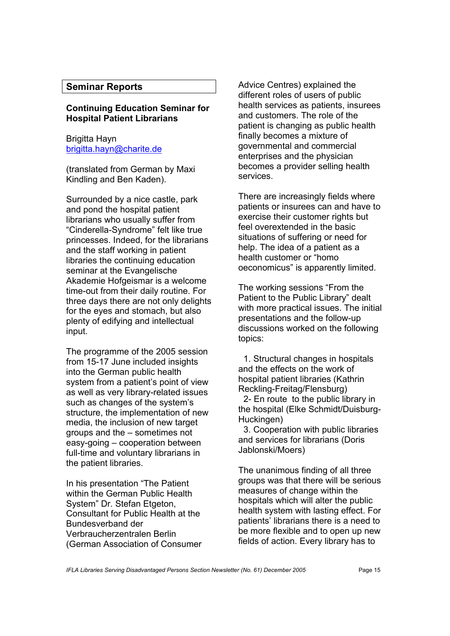## **Seminar Reports**

## **Continuing Education Seminar for Hospital Patient Librarians**

Brigitta Hayn brigitta.hayn@charite.de

(translated from German by Maxi Kindling and Ben Kaden).

Surrounded by a nice castle, park and pond the hospital patient librarians who usually suffer from "Cinderella-Syndrome" felt like true princesses. Indeed, for the librarians and the staff working in patient libraries the continuing education seminar at the Evangelische Akademie Hofgeismar is a welcome time-out from their daily routine. For three days there are not only delights for the eyes and stomach, but also plenty of edifying and intellectual input.

The programme of the 2005 session from 15-17 June included insights into the German public health system from a patient's point of view as well as very library-related issues such as changes of the system's structure, the implementation of new media, the inclusion of new target groups and the – sometimes not easy-going – cooperation between full-time and voluntary librarians in the patient libraries.

In his presentation "The Patient within the German Public Health System" Dr. Stefan Etgeton, Consultant for Public Health at the Bundesverband der Verbraucherzentralen Berlin (German Association of Consumer Advice Centres) explained the different roles of users of public health services as patients, insurees and customers. The role of the patient is changing as public health finally becomes a mixture of governmental and commercial enterprises and the physician becomes a provider selling health services.

There are increasingly fields where patients or insurees can and have to exercise their customer rights but feel overextended in the basic situations of suffering or need for help. The idea of a patient as a health customer or "homo oeconomicus" is apparently limited.

The working sessions "From the Patient to the Public Library" dealt with more practical issues. The initial presentations and the follow-up discussions worked on the following topics:

 1. Structural changes in hospitals and the effects on the work of hospital patient libraries (Kathrin Reckling-Freitag/Flensburg)

 2- En route to the public library in the hospital (Elke Schmidt/Duisburg-Huckingen)

 3. Cooperation with public libraries and services for librarians (Doris Jablonski/Moers)

The unanimous finding of all three groups was that there will be serious measures of change within the hospitals which will alter the public health system with lasting effect. For patients' librarians there is a need to be more flexible and to open up new fields of action. Every library has to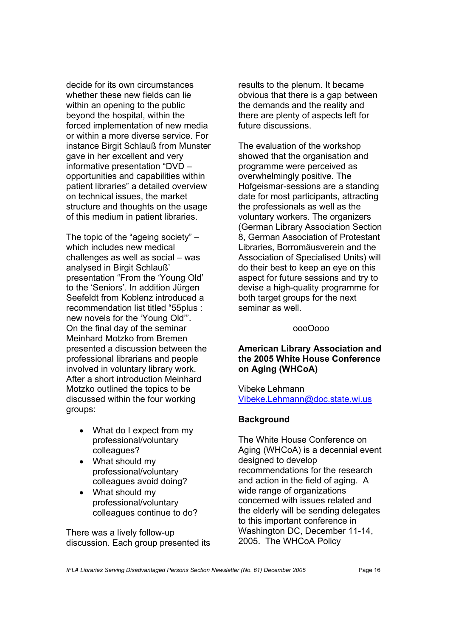decide for its own circumstances whether these new fields can lie within an opening to the public beyond the hospital, within the forced implementation of new media or within a more diverse service. For instance Birgit Schlauß from Munster gave in her excellent and very informative presentation "DVD – opportunities and capabilities within patient libraries" a detailed overview on technical issues, the market structure and thoughts on the usage of this medium in patient libraries.

The topic of the "ageing society" – which includes new medical challenges as well as social – was analysed in Birgit Schlauß' presentation "From the 'Young Old' to the 'Seniors'. In addition Jürgen Seefeldt from Koblenz introduced a recommendation list titled "55plus : new novels for the 'Young Old'". On the final day of the seminar Meinhard Motzko from Bremen presented a discussion between the professional librarians and people involved in voluntary library work. After a short introduction Meinhard Motzko outlined the topics to be discussed within the four working groups:

- What do I expect from my professional/voluntary colleagues?
- What should my professional/voluntary colleagues avoid doing?
- What should my professional/voluntary colleagues continue to do?

There was a lively follow-up discussion. Each group presented its

results to the plenum. It became obvious that there is a gap between the demands and the reality and there are plenty of aspects left for future discussions.

The evaluation of the workshop showed that the organisation and programme were perceived as overwhelmingly positive. The Hofgeismar-sessions are a standing date for most participants, attracting the professionals as well as the voluntary workers. The organizers (German Library Association Section 8, German Association of Protestant Libraries, Borromäusverein and the Association of Specialised Units) will do their best to keep an eye on this aspect for future sessions and try to devise a high-quality programme for both target groups for the next seminar as well.

### oooOooo

## **American Library Association and the 2005 White House Conference on Aging (WHCoA)**

Vibeke Lehmann Vibeke.Lehmann@doc.state.wi.us

## **Background**

The White House Conference on Aging (WHCoA) is a decennial event designed to develop recommendations for the research and action in the field of aging. A wide range of organizations concerned with issues related and the elderly will be sending delegates to this important conference in Washington DC, December 11-14, 2005. The WHCoA Policy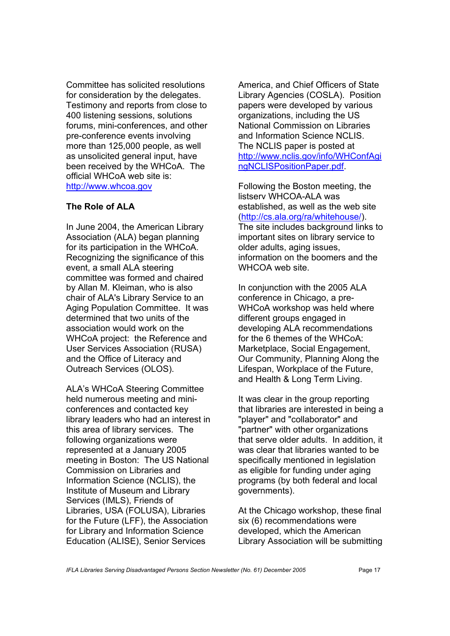Committee has solicited resolutions for consideration by the delegates. Testimony and reports from close to 400 listening sessions, solutions forums, mini-conferences, and other pre-conference events involving more than 125,000 people, as well as unsolicited general input, have been received by the WHCoA. The official WHCoA web site is: <http://www.whcoa.gov>

## **The Role of ALA**

In June 2004, the American Library Association (ALA) began planning for its participation in the WHCoA. Recognizing the significance of this event, a small ALA steering committee was formed and chaired by Allan M. Kleiman, who is also chair of ALA's Library Service to an Aging Population Committee. It was determined that two units of the association would work on the WHCoA project: the Reference and User Services Association (RUSA) and the Office of Literacy and Outreach Services (OLOS).

ALA's WHCoA Steering Committee held numerous meeting and miniconferences and contacted key library leaders who had an interest in this area of library services. The following organizations were represented at a January 2005 meeting in Boston: The US National Commission on Libraries and Information Science (NCLIS), the Institute of Museum and Library Services (IMLS), Friends of Libraries, USA (FOLUSA), Libraries for the Future (LFF), the Association for Library and Information Science Education (ALISE), Senior Services

America, and Chief Officers of State Library Agencies (COSLA). Position papers were developed by various organizations, including the US National Commission on Libraries and Information Science NCLIS. The NCLIS paper is posted at <http://www.nclis.gov/info/WHConfAgi> ngNCLISPositionPaper.pdf.

Following the Boston meeting, the listserv WHCOA-ALA was established, as well as the web site [\(http://cs.ala.org/ra/whitehouse](http://cs.ala.org/ra/whitehouse/)/). The site includes background links to important sites on library service to older adults, aging issues, information on the boomers and the WHCOA web site.

In conjunction with the 2005 ALA conference in Chicago, a pre-WHCoA workshop was held where different groups engaged in developing ALA recommendations for the 6 themes of the WHCoA: Marketplace, Social Engagement, Our Community, Planning Along the Lifespan, Workplace of the Future, and Health & Long Term Living.

It was clear in the group reporting that libraries are interested in being a "player" and "collaborator" and "partner" with other organizations that serve older adults. In addition, it was clear that libraries wanted to be specifically mentioned in legislation as eligible for funding under aging programs (by both federal and local governments).

At the Chicago workshop, these final six (6) recommendations were developed, which the American Library Association will be submitting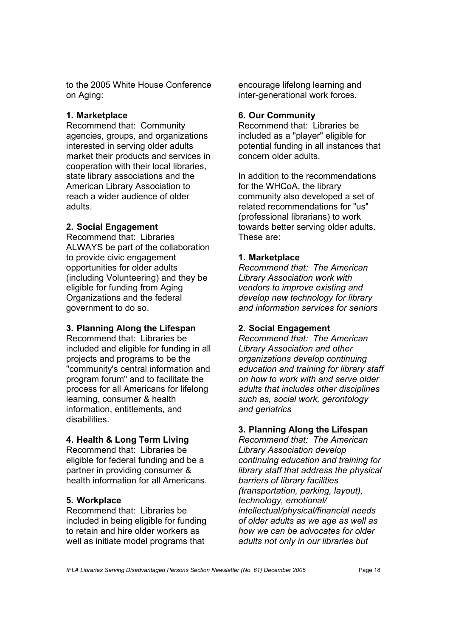to the 2005 White House Conference on Aging:

## **1. Marketplace**

Recommend that: Community agencies, groups, and organizations interested in serving older adults market their products and services in cooperation with their local libraries, state library associations and the American Library Association to reach a wider audience of older adults.

# **2. Social Engagement**

Recommend that: Libraries ALWAYS be part of the collaboration to provide civic engagement opportunities for older adults (including Volunteering) and they be eligible for funding from Aging Organizations and the federal government to do so.

# **3. Planning Along the Lifespan**

Recommend that: Libraries be included and eligible for funding in all projects and programs to be the "community's central information and program forum" and to facilitate the process for all Americans for lifelong learning, consumer & health information, entitlements, and disabilities.

# **4. Health & Long Term Living**

Recommend that: Libraries be eligible for federal funding and be a partner in providing consumer & health information for all Americans.

## **5. Workplace**

Recommend that: Libraries be included in being eligible for funding to retain and hire older workers as well as initiate model programs that

encourage lifelong learning and inter-generational work forces.

## **6. Our Community**

Recommend that: Libraries be included as a "player" eligible for potential funding in all instances that concern older adults.

In addition to the recommendations for the WHCoA, the library community also developed a set of related recommendations for "us" (professional librarians) to work towards better serving older adults. These are:

## **1. Marketplace**

*Recommend that: The American Library Association work with vendors to improve existing and develop new technology for library and information services for seniors* 

## **2. Social Engagement**

*Recommend that: The American Library Association and other organizations develop continuing education and training for library staff on how to work with and serve older adults that includes other disciplines such as, social work, gerontology and geriatrics* 

# **3. Planning Along the Lifespan**

*Recommend that: The American Library Association develop continuing education and training for library staff that address the physical barriers of library facilities (transportation, parking, layout), technology, emotional/ intellectual/physical/financial needs of older adults as we age as well as how we can be advocates for older adults not only in our libraries but*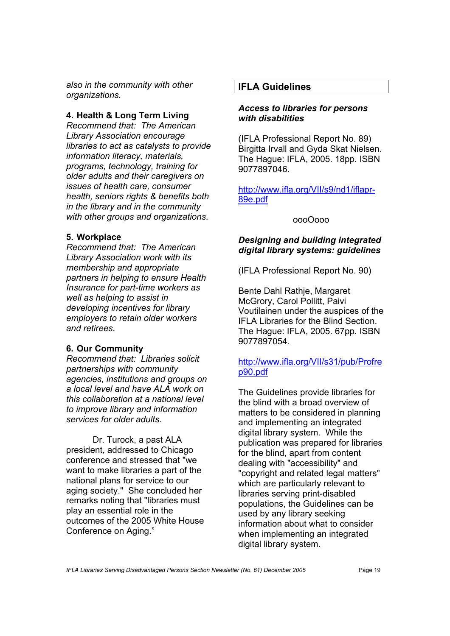*also in the community with other organizations.* 

## **4. Health & Long Term Living**

*Recommend that: The American Library Association encourage libraries to act as catalysts to provide information literacy, materials, programs, technology, training for older adults and their caregivers on issues of health care, consumer health, seniors rights & benefits both in the library and in the community with other groups and organizations.* 

## **5. Workplace**

*Recommend that: The American Library Association work with its membership and appropriate partners in helping to ensure Health Insurance for part-time workers as well as helping to assist in developing incentives for library employers to retain older workers and retirees.* 

## **6. Our Community**

*Recommend that: Libraries solicit partnerships with community agencies, institutions and groups on a local level and have ALA work on this collaboration at a national level to improve library and information services for older adults.* 

Dr. Turock, a past ALA president, addressed to Chicago conference and stressed that "we want to make libraries a part of the national plans for service to our aging society." She concluded her remarks noting that "libraries must play an essential role in the outcomes of the 2005 White House Conference on Aging."

# **IFLA Guidelines**

## *Access to libraries for persons with disabilities*

(IFLA Professional Report No. 89) Birgitta Irvall and Gyda Skat Nielsen. The Hague: IFLA, 2005. 18pp. ISBN 9077897046.

# <http://www.ifla.org/VII/s9/nd1/iflapr->89e.pdf

## oooOooo

## *Designing and building integrated digital library systems: guidelines*

(IFLA Professional Report No. 90)

Bente Dahl Rathje, Margaret McGrory, Carol Pollitt, Paivi Voutilainen under the auspices of the IFLA Libraries for the Blind Section. The Hague: IFLA, 2005. 67pp. ISBN 9077897054.

# <http://www.ifla.org/VII/s31/pub/Profre> p90.pdf

The Guidelines provide libraries for the blind with a broad overview of matters to be considered in planning and implementing an integrated digital library system. While the publication was prepared for libraries for the blind, apart from content dealing with "accessibility" and "copyright and related legal matters" which are particularly relevant to libraries serving print-disabled populations, the Guidelines can be used by any library seeking information about what to consider when implementing an integrated digital library system.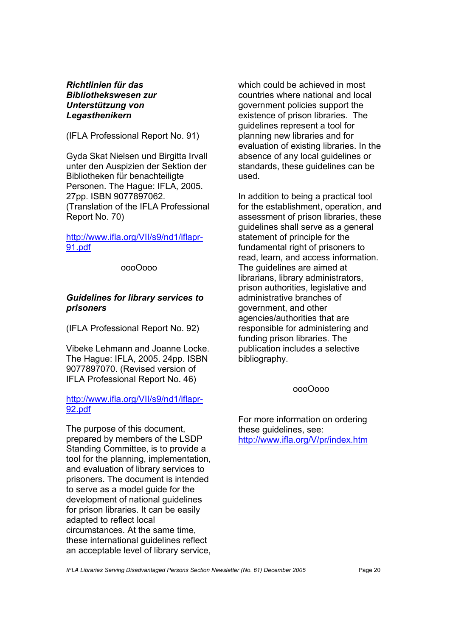## *Richtlinien für das Bibliothekswesen zur Unterstützung von Legasthenikern*

(IFLA Professional Report No. 91)

Gyda Skat Nielsen und Birgitta Irvall unter den Auspizien der Sektion der Bibliotheken für benachteiligte Personen. The Hague: IFLA, 2005. 27pp. ISBN 9077897062. (Translation of the IFLA Professional Report No. 70)

## <http://www.ifla.org/VII/s9/nd1/iflapr->91.pdf

## oooOooo

## *Guidelines for library services to prisoners*

(IFLA Professional Report No. 92)

Vibeke Lehmann and Joanne Locke. The Hague: IFLA, 2005. 24pp. ISBN 9077897070. (Revised version of IFLA Professional Report No. 46)

## <http://www.ifla.org/VII/s9/nd1/iflapr->92.pdf

The purpose of this document, prepared by members of the LSDP Standing Committee, is to provide a tool for the planning, implementation, and evaluation of library services to prisoners. The document is intended to serve as a model guide for the development of national guidelines for prison libraries. It can be easily adapted to reflect local circumstances. At the same time, these international guidelines reflect an acceptable level of library service, which could be achieved in most countries where national and local government policies support the existence of prison libraries. The guidelines represent a tool for planning new libraries and for evaluation of existing libraries. In the absence of any local guidelines or standards, these guidelines can be used.

In addition to being a practical tool for the establishment, operation, and assessment of prison libraries, these guidelines shall serve as a general statement of principle for the fundamental right of prisoners to read, learn, and access information. The guidelines are aimed at librarians, library administrators, prison authorities, legislative and administrative branches of government, and other agencies/authorities that are responsible for administering and funding prison libraries. The publication includes a selective bibliography.

## oooOooo

For more information on ordering these guidelines, see: <http://www.ifla.org/V/pr/index.htm>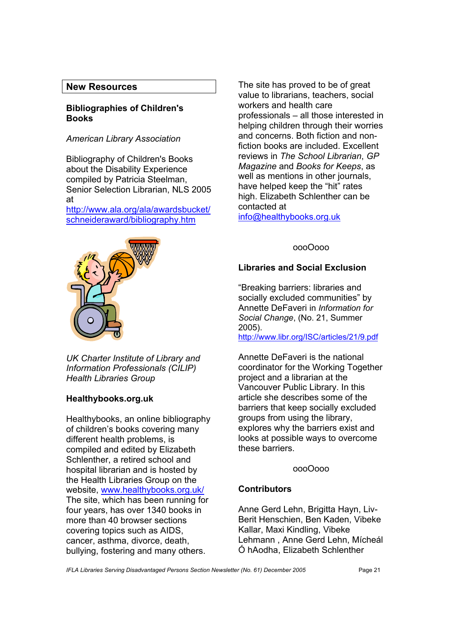## **New Resources**

## **Bibliographies of Children's Books**

## *American Library Association*

Bibliography of Children's Books about the Disability Experience compiled by Patricia Steelman, Senior Selection Librarian, NLS 2005 at

<http://www.ala.org/ala/awardsbucket/> schneideraward/bibliography.htm



*UK Charter Institute of Library and Information Professionals (CILIP) Health Libraries Group* 

## **Healthybooks.org.uk**

Healthybooks, an online bibliography of children's books covering many different health problems, is compiled and edited by Elizabeth Schlenther, a retired school and hospital librarian and is hosted by the Health Libraries Group on the website, www.healthybooks.org.uk/ The site, which has been running for four years, has over 1340 books in more than 40 browser sections covering topics such as AIDS, cancer, asthma, divorce, death, bullying, fostering and many others.

The site has proved to be of great value to librarians, teachers, social workers and health care professionals – all those interested in helping children through their worries and concerns. Both fiction and nonfiction books are included. Excellent reviews in *The School Librarian*, *GP Magazine* and *Books for Keeps*, as well as mentions in other journals, have helped keep the "hit" rates high. Elizabeth Schlenther can be contacted at info@healthybooks.org.uk

oooOooo

## **Libraries and Social Exclusion**

"Breaking barriers: libraries and socially excluded communities" by Annette DeFaveri in *Information for Social Change*, (No. 21, Summer 2005). <http://www.libr.org/ISC/articles/21/9.pdf>

Annette DeFaveri is the national coordinator for the Working Together project and a librarian at the Vancouver Public Library. In this article she describes some of the barriers that keep socially excluded groups from using the library, explores why the barriers exist and looks at possible ways to overcome these barriers.

### oooOooo

### **Contributors**

Anne Gerd Lehn, Brigitta Hayn, Liv-Berit Henschien, Ben Kaden, Vibeke Kallar, Maxi Kindling, Vibeke Lehmann , Anne Gerd Lehn, Mícheál Ó hAodha, Elizabeth Schlenther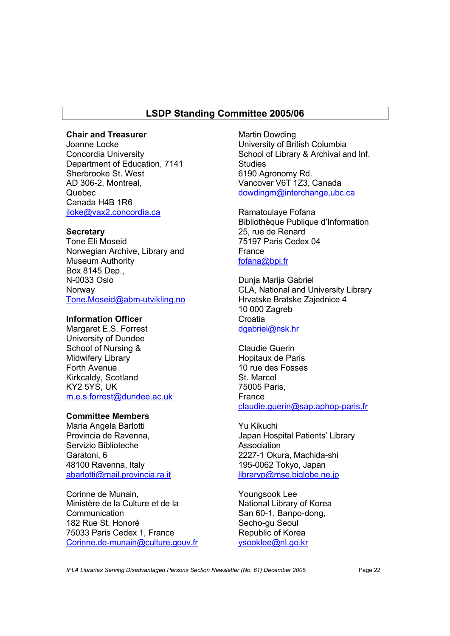# **LSDP Standing Committee 2005/06**

## **Chair and Treasurer**

Joanne Locke Concordia University Department of Education, 7141 Sherbrooke St. West AD 306-2, Montreal, Quebec Canada H4B 1R6 jloke@vax2.concordia.ca

### **Secretary**

Tone Eli Moseid Norwegian Archive, Library and Museum Authority Box 8145 Dep., N-0033 Oslo Norway Tone.Moseid@abm-utvikling.no

## **Information Officer**

Margaret E.S. Forrest University of Dundee School of Nursing & Midwifery Library Forth Avenue Kirkcaldy, Scotland KY2 5YS, UK m.e.s.forrest@dundee.ac.uk

### **Committee Members**

Maria Angela Barlotti Provincia de Ravenna, Servizio Biblioteche Garatoni, 6 48100 Ravenna, Italy abarlotti@mail.provincia.ra.it

Corinne de Munain, Ministère de la Culture et de la **Communication** 182 Rue St. Honoré 75033 Paris Cedex 1, France Corinne.de-munain@culture.gouv.fr

Martin Dowding University of British Columbia School of Library & Archival and Inf. **Studies** 6190 Agronomy Rd. Vancover V6T 1Z3, Canada dowdingm@interchange,ubc.ca

Ramatoulaye Fofana Bibliothèque Publique d'Information 25, rue de Renard 75197 Paris Cedex 04 France fofana@bpi.fr

Dunja Marija Gabriel CLA, National and University Library Hrvatske Bratske Zajednice 4 10 000 Zagreb **Croatia** dgabriel@nsk.hr

Claudie Guerin Hopitaux de Paris 10 rue des Fosses St. Marcel 75005 Paris, France claudie.guerin@sap.aphop-paris.fr

Yu Kikuchi Japan Hospital Patients' Library Association 2227-1 Okura, Machida-shi 195-0062 Tokyo, Japan libraryp@mse.biglobe.ne.jp

Youngsook Lee National Library of Korea San 60-1, Banpo-dong, Secho-gu Seoul Republic of Korea ysooklee@nl.go.kr